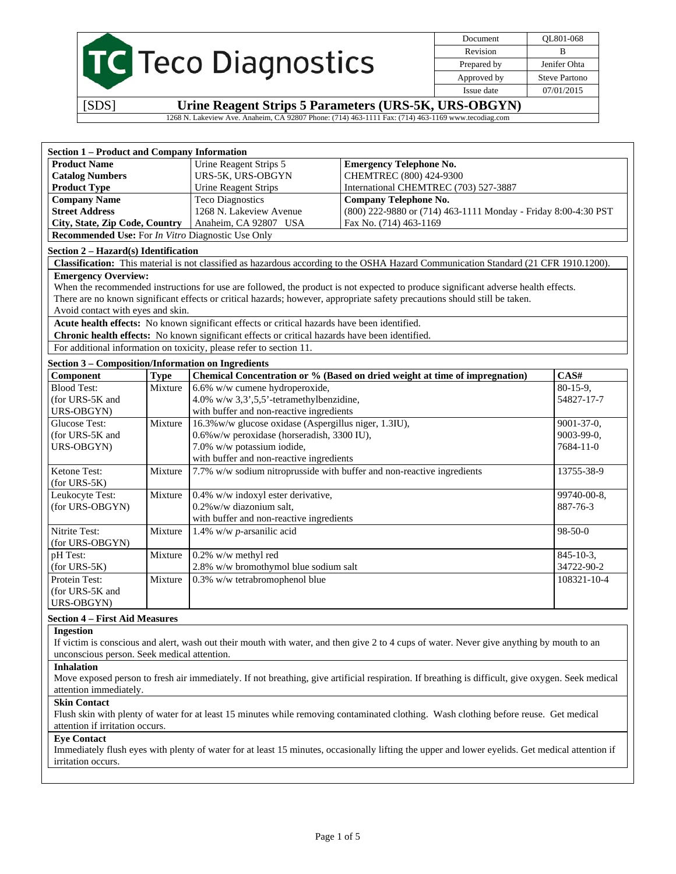|  | <b>IC</b> Teco Diagnostics |
|--|----------------------------|
|  |                            |
|  |                            |

Document QL801-068 Revision B Prepared by Jenifer Ohta Approved by Steve Partono Issue date 07/01/2015

[SDS] **Urine Reagent Strips 5 Parameters (URS-5K, URS-OBGYN)** 

1268 N. Lakeview Ave. Anaheim, CA 92807 Phone: (714) 463-1111 Fax: (714) 463-1169 www.tecodiag.com

| <b>Section 1 - Product and Company Information</b>        |             |                                                                                                |                                                                                                                                      |             |
|-----------------------------------------------------------|-------------|------------------------------------------------------------------------------------------------|--------------------------------------------------------------------------------------------------------------------------------------|-------------|
| <b>Product Name</b>                                       |             | Urine Reagent Strips 5                                                                         | <b>Emergency Telephone No.</b>                                                                                                       |             |
| <b>Catalog Numbers</b>                                    |             | URS-5K, URS-OBGYN                                                                              | CHEMTREC (800) 424-9300                                                                                                              |             |
| <b>Product Type</b>                                       |             | <b>Urine Reagent Strips</b>                                                                    | International CHEMTREC (703) 527-3887                                                                                                |             |
| <b>Company Name</b>                                       |             | <b>Teco Diagnostics</b>                                                                        | <b>Company Telephone No.</b>                                                                                                         |             |
| <b>Street Address</b>                                     |             | 1268 N. Lakeview Avenue                                                                        | (800) 222-9880 or (714) 463-1111 Monday - Friday 8:00-4:30 PST                                                                       |             |
| City, State, Zip Code, Country                            |             | Anaheim, CA 92807 USA                                                                          | Fax No. (714) 463-1169                                                                                                               |             |
| Recommended Use: For In Vitro Diagnostic Use Only         |             |                                                                                                |                                                                                                                                      |             |
| Section 2 - Hazard(s) Identification                      |             |                                                                                                |                                                                                                                                      |             |
|                                                           |             |                                                                                                | Classification: This material is not classified as hazardous according to the OSHA Hazard Communication Standard (21 CFR 1910.1200). |             |
| <b>Emergency Overview:</b>                                |             |                                                                                                |                                                                                                                                      |             |
|                                                           |             |                                                                                                | When the recommended instructions for use are followed, the product is not expected to produce significant adverse health effects.   |             |
|                                                           |             |                                                                                                | There are no known significant effects or critical hazards; however, appropriate safety precautions should still be taken.           |             |
| Avoid contact with eyes and skin.                         |             |                                                                                                |                                                                                                                                      |             |
|                                                           |             | Acute health effects: No known significant effects or critical hazards have been identified.   |                                                                                                                                      |             |
|                                                           |             | Chronic health effects: No known significant effects or critical hazards have been identified. |                                                                                                                                      |             |
|                                                           |             | For additional information on toxicity, please refer to section 11.                            |                                                                                                                                      |             |
| <b>Section 3 - Composition/Information on Ingredients</b> |             |                                                                                                |                                                                                                                                      |             |
| Component                                                 | <b>Type</b> |                                                                                                | Chemical Concentration or % (Based on dried weight at time of impregnation)                                                          | CAS#        |
| <b>Blood Test:</b>                                        | Mixture     | 6.6% w/w cumene hydroperoxide,                                                                 |                                                                                                                                      | $80-15-9$ , |
| (for URS-5K and                                           |             | 4.0% w/w $3,3',5,5'$ -tetramethylbenzidine,                                                    |                                                                                                                                      | 54827-17-7  |
| URS-OBGYN)                                                |             | with buffer and non-reactive ingredients                                                       |                                                                                                                                      |             |
| Glucose Test:                                             | Mixture     | 16.3% w/w glucose oxidase (Aspergillus niger, 1.3IU),<br>9001-37-0,                            |                                                                                                                                      |             |
| (for URS-5K and                                           |             | 0.6% w/w peroxidase (horseradish, 3300 IU),<br>9003-99-0,                                      |                                                                                                                                      |             |
| URS-OBGYN)                                                |             | 7.0% w/w potassium iodide,<br>7684-11-0                                                        |                                                                                                                                      |             |
|                                                           |             | with buffer and non-reactive ingredients                                                       |                                                                                                                                      |             |
| Ketone Test:                                              | Mixture     | 7.7% w/w sodium nitroprusside with buffer and non-reactive ingredients<br>13755-38-9           |                                                                                                                                      |             |
| $(for URS-5K)$                                            |             |                                                                                                |                                                                                                                                      |             |
| Leukocyte Test:                                           | Mixture     | 0.4% w/w indoxyl ester derivative,<br>99740-00-8,                                              |                                                                                                                                      |             |
| (for URS-OBGYN)                                           |             | 0.2% w/w diazonium salt,<br>887-76-3                                                           |                                                                                                                                      |             |
|                                                           |             | with buffer and non-reactive ingredients                                                       |                                                                                                                                      |             |
| Nitrite Test:                                             | Mixture     | 1.4% w/w $p$ -arsanilic acid<br>98-50-0                                                        |                                                                                                                                      |             |
| (for URS-OBGYN)                                           |             |                                                                                                |                                                                                                                                      |             |
| pH Test:                                                  | Mixture     | 0.2% w/w methyl red<br>$845 - 10 - 3$ ,                                                        |                                                                                                                                      |             |
| $(for URS-5K)$                                            |             | 2.8% w/w bromothymol blue sodium salt                                                          |                                                                                                                                      | 34722-90-2  |
| Protein Test:                                             | Mixture     | 0.3% w/w tetrabromophenol blue                                                                 |                                                                                                                                      | 108321-10-4 |
| (for URS-5K and                                           |             |                                                                                                |                                                                                                                                      |             |
| URS-OBGYN)                                                |             |                                                                                                |                                                                                                                                      |             |
| $Condition A. Find M$                                     |             |                                                                                                |                                                                                                                                      |             |

#### **Section 4 – First Aid Measures**

**Ingestion**  If victim is conscious and alert, wash out their mouth with water, and then give 2 to 4 cups of water. Never give anything by mouth to an unconscious person. Seek medical attention.

## **Inhalation**

Move exposed person to fresh air immediately. If not breathing, give artificial respiration. If breathing is difficult, give oxygen. Seek medical attention immediately.

## **Skin Contact**

Flush skin with plenty of water for at least 15 minutes while removing contaminated clothing. Wash clothing before reuse. Get medical attention if irritation occurs.

## **Eye Contact**

Immediately flush eyes with plenty of water for at least 15 minutes, occasionally lifting the upper and lower eyelids. Get medical attention if irritation occurs.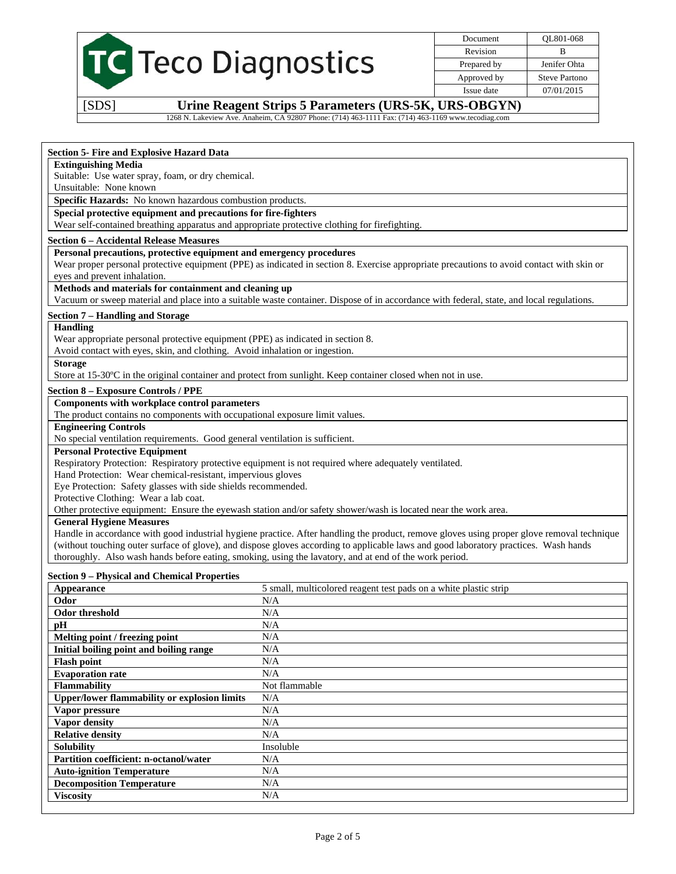

Document QL801-068 Revision B Prepared by Jenifer Ohta Approved by Steve Partono Issue date 07/01/2015

[SDS] **Urine Reagent Strips 5 Parameters (URS-5K, URS-OBGYN)** 

1268 N. Lakeview Ave. Anaheim, CA 92807 Phone: (714) 463-1111 Fax: (714) 463-1169 www.tecodiag.com

## **Section 5- Fire and Explosive Hazard Data**

# **Extinguishing Media**

Suitable: Use water spray, foam, or dry chemical.

Unsuitable: None known

**Specific Hazards:** No known hazardous combustion products.

**Special protective equipment and precautions for fire-fighters** 

Wear self-contained breathing apparatus and appropriate protective clothing for firefighting.

#### **Section 6 – Accidental Release Measures**

**Personal precautions, protective equipment and emergency procedures** 

Wear proper personal protective equipment (PPE) as indicated in section 8. Exercise appropriate precautions to avoid contact with skin or eyes and prevent inhalation.

## **Methods and materials for containment and cleaning up**

Vacuum or sweep material and place into a suitable waste container. Dispose of in accordance with federal, state, and local regulations.

## **Section 7 – Handling and Storage**

#### **Handling**

Wear appropriate personal protective equipment (PPE) as indicated in section 8.

Avoid contact with eyes, skin, and clothing. Avoid inhalation or ingestion.

#### **Storage**

Store at 15-30ºC in the original container and protect from sunlight. Keep container closed when not in use.

## **Section 8 – Exposure Controls / PPE**

## **Components with workplace control parameters**

The product contains no components with occupational exposure limit values.

**Engineering Controls** 

No special ventilation requirements. Good general ventilation is sufficient.

## **Personal Protective Equipment**

Respiratory Protection: Respiratory protective equipment is not required where adequately ventilated.

Hand Protection: Wear chemical-resistant, impervious gloves

Eye Protection: Safety glasses with side shields recommended.

Protective Clothing: Wear a lab coat.

Other protective equipment: Ensure the eyewash station and/or safety shower/wash is located near the work area.

## **General Hygiene Measures**

Handle in accordance with good industrial hygiene practice. After handling the product, remove gloves using proper glove removal technique (without touching outer surface of glove), and dispose gloves according to applicable laws and good laboratory practices. Wash hands thoroughly. Also wash hands before eating, smoking, using the lavatory, and at end of the work period.

## **Section 9 – Physical and Chemical Properties**

| Appearance                                          | 5 small, multicolored reagent test pads on a white plastic strip |
|-----------------------------------------------------|------------------------------------------------------------------|
| Odor                                                | N/A                                                              |
| <b>Odor threshold</b>                               | N/A                                                              |
| pH                                                  | N/A                                                              |
| Melting point / freezing point                      | N/A                                                              |
| Initial boiling point and boiling range             | N/A                                                              |
| <b>Flash point</b>                                  | N/A                                                              |
| <b>Evaporation rate</b>                             | N/A                                                              |
| <b>Flammability</b>                                 | Not flammable                                                    |
| <b>Upper/lower flammability or explosion limits</b> | N/A                                                              |
| Vapor pressure                                      | N/A                                                              |
| Vapor density                                       | N/A                                                              |
| <b>Relative density</b>                             | N/A                                                              |
| <b>Solubility</b>                                   | Insoluble                                                        |
| <b>Partition coefficient: n-octanol/water</b>       | N/A                                                              |
| <b>Auto-ignition Temperature</b>                    | N/A                                                              |
| <b>Decomposition Temperature</b>                    | N/A                                                              |
| <b>Viscosity</b>                                    | N/A                                                              |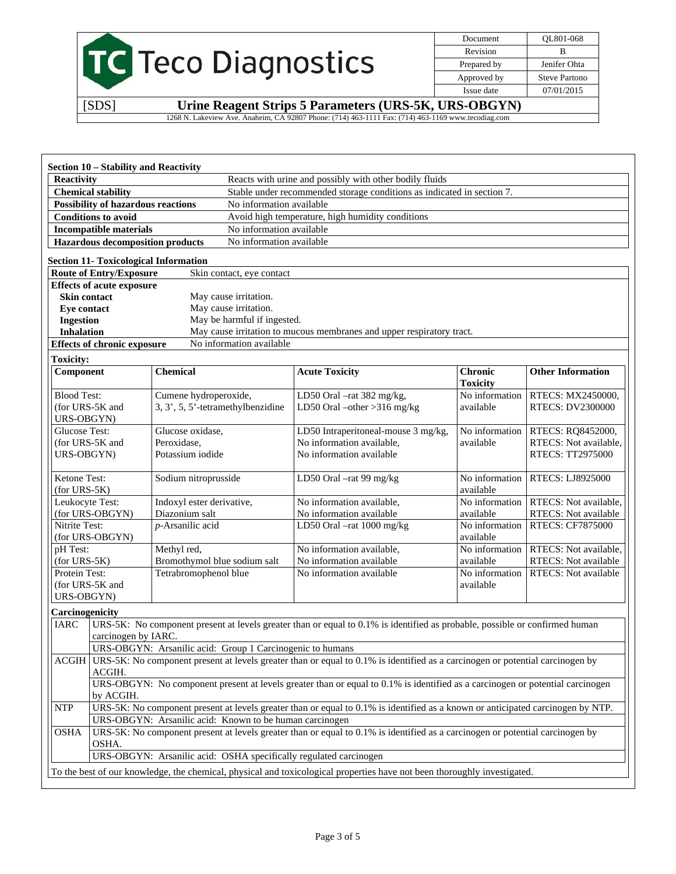|                           | Document    |
|---------------------------|-------------|
|                           | Revision    |
| <b>S</b> Teco Diagnostics | Prepared by |
|                           | Approved by |
|                           | Issue date  |

| Document    | OL801-068     |
|-------------|---------------|
| Revision    | в             |
| Prepared by | Jenifer Ohta  |
| Approved by | Steve Partono |
| Issue date  | 07/01/2015    |
|             |               |

Ī

[SDS] **Urine Reagent Strips 5 Parameters (URS-5K, URS-OBGYN)**  1268 N. Lakeview Ave. Anaheim, CA 92807 Phone: (714) 463-1111 Fax: (714) 463-1169 www.tecodiag.com

|                                                                                                                                               | Section 10 - Stability and Reactivity                                                                                                                                                      |                                                            |                             |                                                                                                                               |                             |                                              |
|-----------------------------------------------------------------------------------------------------------------------------------------------|--------------------------------------------------------------------------------------------------------------------------------------------------------------------------------------------|------------------------------------------------------------|-----------------------------|-------------------------------------------------------------------------------------------------------------------------------|-----------------------------|----------------------------------------------|
|                                                                                                                                               | <b>Reactivity</b><br>Reacts with urine and possibly with other bodily fluids                                                                                                               |                                                            |                             |                                                                                                                               |                             |                                              |
| <b>Chemical stability</b>                                                                                                                     |                                                                                                                                                                                            |                                                            |                             | Stable under recommended storage conditions as indicated in section 7.                                                        |                             |                                              |
|                                                                                                                                               | <b>Possibility of hazardous reactions</b>                                                                                                                                                  |                                                            | No information available    |                                                                                                                               |                             |                                              |
|                                                                                                                                               | <b>Conditions to avoid</b>                                                                                                                                                                 |                                                            |                             | Avoid high temperature, high humidity conditions                                                                              |                             |                                              |
|                                                                                                                                               | <b>Incompatible materials</b>                                                                                                                                                              |                                                            | No information available    |                                                                                                                               |                             |                                              |
|                                                                                                                                               | <b>Hazardous decomposition products</b>                                                                                                                                                    |                                                            | No information available    |                                                                                                                               |                             |                                              |
|                                                                                                                                               | <b>Section 11- Toxicological Information</b>                                                                                                                                               |                                                            |                             |                                                                                                                               |                             |                                              |
|                                                                                                                                               | <b>Route of Entry/Exposure</b>                                                                                                                                                             |                                                            | Skin contact, eye contact   |                                                                                                                               |                             |                                              |
|                                                                                                                                               | <b>Effects of acute exposure</b>                                                                                                                                                           |                                                            |                             |                                                                                                                               |                             |                                              |
| <b>Skin contact</b>                                                                                                                           |                                                                                                                                                                                            |                                                            | May cause irritation.       |                                                                                                                               |                             |                                              |
| Eye contact                                                                                                                                   |                                                                                                                                                                                            |                                                            | May cause irritation.       |                                                                                                                               |                             |                                              |
| <b>Ingestion</b>                                                                                                                              |                                                                                                                                                                                            |                                                            | May be harmful if ingested. |                                                                                                                               |                             |                                              |
| <b>Inhalation</b>                                                                                                                             |                                                                                                                                                                                            |                                                            |                             | May cause irritation to mucous membranes and upper respiratory tract.                                                         |                             |                                              |
|                                                                                                                                               | <b>Effects of chronic exposure</b>                                                                                                                                                         |                                                            | No information available    |                                                                                                                               |                             |                                              |
| <b>Toxicity:</b>                                                                                                                              |                                                                                                                                                                                            |                                                            |                             |                                                                                                                               |                             |                                              |
| Component                                                                                                                                     |                                                                                                                                                                                            | <b>Chemical</b>                                            |                             | <b>Acute Toxicity</b>                                                                                                         | <b>Chronic</b>              | <b>Other Information</b>                     |
|                                                                                                                                               |                                                                                                                                                                                            |                                                            |                             |                                                                                                                               | <b>Toxicity</b>             |                                              |
| <b>Blood Test:</b>                                                                                                                            |                                                                                                                                                                                            | Cumene hydroperoxide,<br>3, 3', 5, 5'-tetramethylbenzidine |                             | LD50 Oral -rat 382 mg/kg,                                                                                                     | No information<br>available | RTECS: MX2450000,<br><b>RTECS: DV2300000</b> |
| URS-OBGYN)                                                                                                                                    | (for URS-5K and                                                                                                                                                                            |                                                            |                             | LD50 Oral $-\text{other} > 316 \text{ mg/kg}$                                                                                 |                             |                                              |
| <b>Glucose Test:</b>                                                                                                                          |                                                                                                                                                                                            | Glucose oxidase,                                           |                             | LD50 Intraperitoneal-mouse 3 mg/kg,                                                                                           | No information              | RTECS: RQ8452000,                            |
|                                                                                                                                               | (for URS-5K and                                                                                                                                                                            | Peroxidase,                                                |                             | No information available,                                                                                                     | available                   | RTECS: Not available,                        |
| URS-OBGYN)                                                                                                                                    |                                                                                                                                                                                            | Potassium iodide                                           |                             | No information available                                                                                                      |                             | RTECS: TT2975000                             |
|                                                                                                                                               |                                                                                                                                                                                            |                                                            |                             |                                                                                                                               |                             |                                              |
| Ketone Test:<br>$(for URS-5K)$                                                                                                                |                                                                                                                                                                                            | Sodium nitroprusside                                       |                             | LD50 Oral -rat 99 mg/kg                                                                                                       | No information<br>available | <b>RTECS: LJ8925000</b>                      |
| Leukocyte Test:                                                                                                                               |                                                                                                                                                                                            | Indoxyl ester derivative,                                  |                             | No information available,                                                                                                     | No information              | RTECS: Not available,                        |
|                                                                                                                                               | (for URS-OBGYN)                                                                                                                                                                            | Diazonium salt                                             |                             | No information available                                                                                                      | available                   | RTECS: Not available                         |
| Nitrite Test:                                                                                                                                 |                                                                                                                                                                                            | p-Arsanilic acid                                           |                             | LD50 Oral -rat 1000 mg/kg                                                                                                     | $\overline{No}$ information | <b>RTECS: CF7875000</b>                      |
|                                                                                                                                               | (for URS-OBGYN)                                                                                                                                                                            |                                                            |                             |                                                                                                                               | available                   |                                              |
| pH Test:                                                                                                                                      |                                                                                                                                                                                            | Methyl red,                                                |                             | No information available,                                                                                                     | No information              | RTECS: Not available,                        |
| $(for URS-5K)$                                                                                                                                |                                                                                                                                                                                            | Bromothymol blue sodium salt                               |                             | No information available                                                                                                      | available                   | RTECS: Not available                         |
| Protein Test:                                                                                                                                 |                                                                                                                                                                                            | Tetrabromophenol blue                                      |                             | No information available                                                                                                      | No information              | <b>RTECS:</b> Not available                  |
|                                                                                                                                               | (for URS-5K and                                                                                                                                                                            |                                                            |                             |                                                                                                                               | available                   |                                              |
| URS-OBGYN)                                                                                                                                    |                                                                                                                                                                                            |                                                            |                             |                                                                                                                               |                             |                                              |
| Carcinogenicity                                                                                                                               |                                                                                                                                                                                            |                                                            |                             |                                                                                                                               |                             |                                              |
|                                                                                                                                               | URS-5K: No component present at levels greater than or equal to 0.1% is identified as probable, possible or confirmed human<br><b>IARC</b>                                                 |                                                            |                             |                                                                                                                               |                             |                                              |
|                                                                                                                                               | carcinogen by IARC.                                                                                                                                                                        |                                                            |                             |                                                                                                                               |                             |                                              |
|                                                                                                                                               | URS-OBGYN: Arsanilic acid: Group 1 Carcinogenic to humans<br>URS-5K: No component present at levels greater than or equal to 0.1% is identified as a carcinogen or potential carcinogen by |                                                            |                             |                                                                                                                               |                             |                                              |
|                                                                                                                                               | <b>ACGIH</b><br>ACGIH.                                                                                                                                                                     |                                                            |                             |                                                                                                                               |                             |                                              |
|                                                                                                                                               | URS-OBGYN: No component present at levels greater than or equal to 0.1% is identified as a carcinogen or potential carcinogen                                                              |                                                            |                             |                                                                                                                               |                             |                                              |
| by ACGIH.                                                                                                                                     |                                                                                                                                                                                            |                                                            |                             |                                                                                                                               |                             |                                              |
| <b>NTP</b><br>URS-5K: No component present at levels greater than or equal to 0.1% is identified as a known or anticipated carcinogen by NTP. |                                                                                                                                                                                            |                                                            |                             |                                                                                                                               |                             |                                              |
| URS-OBGYN: Arsanilic acid: Known to be human carcinogen                                                                                       |                                                                                                                                                                                            |                                                            |                             |                                                                                                                               |                             |                                              |
| <b>OSHA</b>                                                                                                                                   |                                                                                                                                                                                            |                                                            |                             | URS-5K: No component present at levels greater than or equal to 0.1% is identified as a carcinogen or potential carcinogen by |                             |                                              |
|                                                                                                                                               | OSHA.                                                                                                                                                                                      |                                                            |                             |                                                                                                                               |                             |                                              |
|                                                                                                                                               |                                                                                                                                                                                            |                                                            |                             | URS-OBGYN: Arsanilic acid: OSHA specifically regulated carcinogen                                                             |                             |                                              |
|                                                                                                                                               |                                                                                                                                                                                            |                                                            |                             | To the best of our knowledge, the chemical, physical and toxicological properties have not been thoroughly investigated.      |                             |                                              |
|                                                                                                                                               |                                                                                                                                                                                            |                                                            |                             |                                                                                                                               |                             |                                              |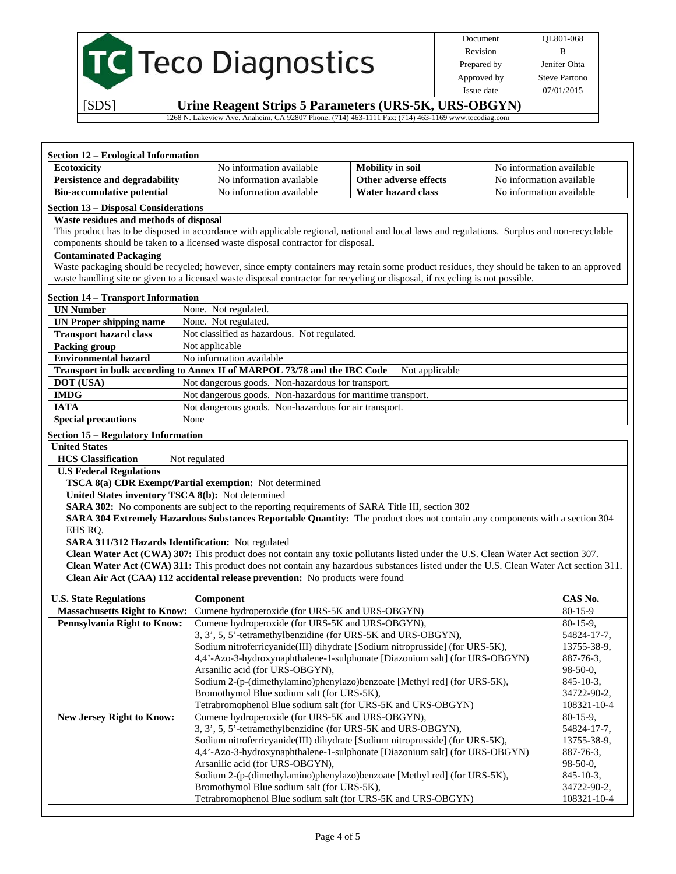|  | <b>C</b> Teco Diagnostics |
|--|---------------------------|
|  |                           |

Document QL801-068 Revision B Prepared by **Jenifer Ohta** Approved by Steve Partono Issue date 07/01/2015

[SDS] **Urine Reagent Strips 5 Parameters (URS-5K, URS-OBGYN)** 

1268 N. Lakeview Ave. Anaheim, CA 92807 Phone: (714) 463-1111 Fax: (714) 463-1169 www.tecodiag.com

| <b>Section 12 – Ecological Information</b>                |                                                                                                                                             |                         |                            |  |  |  |
|-----------------------------------------------------------|---------------------------------------------------------------------------------------------------------------------------------------------|-------------------------|----------------------------|--|--|--|
| Ecotoxicity                                               | No information available                                                                                                                    | <b>Mobility</b> in soil | No information available   |  |  |  |
| Persistence and degradability                             | No information available                                                                                                                    | Other adverse effects   | No information available   |  |  |  |
| <b>Bio-accumulative potential</b>                         | No information available                                                                                                                    | Water hazard class      | No information available   |  |  |  |
| <b>Section 13 - Disposal Considerations</b>               |                                                                                                                                             |                         |                            |  |  |  |
| Waste residues and methods of disposal                    |                                                                                                                                             |                         |                            |  |  |  |
|                                                           | This product has to be disposed in accordance with applicable regional, national and local laws and regulations. Surplus and non-recyclable |                         |                            |  |  |  |
|                                                           | components should be taken to a licensed waste disposal contractor for disposal.                                                            |                         |                            |  |  |  |
| <b>Contaminated Packaging</b>                             |                                                                                                                                             |                         |                            |  |  |  |
|                                                           | Waste packaging should be recycled; however, since empty containers may retain some product residues, they should be taken to an approved   |                         |                            |  |  |  |
|                                                           | waste handling site or given to a licensed waste disposal contractor for recycling or disposal, if recycling is not possible.               |                         |                            |  |  |  |
| <b>Section 14 - Transport Information</b>                 |                                                                                                                                             |                         |                            |  |  |  |
| <b>UN Number</b>                                          | None. Not regulated.                                                                                                                        |                         |                            |  |  |  |
| <b>UN Proper shipping name</b>                            | None. Not regulated.                                                                                                                        |                         |                            |  |  |  |
| <b>Transport hazard class</b>                             | Not classified as hazardous. Not regulated.                                                                                                 |                         |                            |  |  |  |
| <b>Packing group</b>                                      | Not applicable                                                                                                                              |                         |                            |  |  |  |
| <b>Environmental hazard</b>                               | No information available                                                                                                                    |                         |                            |  |  |  |
|                                                           | Transport in bulk according to Annex II of MARPOL 73/78 and the IBC Code                                                                    | Not applicable          |                            |  |  |  |
| DOT (USA)                                                 | Not dangerous goods. Non-hazardous for transport.                                                                                           |                         |                            |  |  |  |
| <b>IMDG</b>                                               | Not dangerous goods. Non-hazardous for maritime transport.                                                                                  |                         |                            |  |  |  |
| <b>IATA</b>                                               | Not dangerous goods. Non-hazardous for air transport.                                                                                       |                         |                            |  |  |  |
| <b>Special precautions</b>                                | None                                                                                                                                        |                         |                            |  |  |  |
| <b>Section 15 - Regulatory Information</b>                |                                                                                                                                             |                         |                            |  |  |  |
| <b>United States</b>                                      |                                                                                                                                             |                         |                            |  |  |  |
| <b>HCS</b> Classification                                 | Not regulated                                                                                                                               |                         |                            |  |  |  |
| <b>U.S Federal Regulations</b>                            |                                                                                                                                             |                         |                            |  |  |  |
|                                                           | TSCA 8(a) CDR Exempt/Partial exemption: Not determined                                                                                      |                         |                            |  |  |  |
| United States inventory TSCA 8(b): Not determined         |                                                                                                                                             |                         |                            |  |  |  |
|                                                           | SARA 302: No components are subject to the reporting requirements of SARA Title III, section 302                                            |                         |                            |  |  |  |
|                                                           | SARA 304 Extremely Hazardous Substances Reportable Quantity: The product does not contain any components with a section 304                 |                         |                            |  |  |  |
| EHS RQ.                                                   |                                                                                                                                             |                         |                            |  |  |  |
| <b>SARA 311/312 Hazards Identification:</b> Not regulated |                                                                                                                                             |                         |                            |  |  |  |
|                                                           | Clean Water Act (CWA) 307: This product does not contain any toxic pollutants listed under the U.S. Clean Water Act section 307.            |                         |                            |  |  |  |
|                                                           | Clean Water Act (CWA) 311: This product does not contain any hazardous substances listed under the U.S. Clean Water Act section 311.        |                         |                            |  |  |  |
|                                                           | Clean Air Act (CAA) 112 accidental release prevention: No products were found                                                               |                         |                            |  |  |  |
| <b>U.S. State Regulations</b>                             | Component                                                                                                                                   |                         | CAS No.                    |  |  |  |
| <b>Massachusetts Right to Know:</b>                       | Cumene hydroperoxide (for URS-5K and URS-OBGYN)                                                                                             |                         | 80-15-9                    |  |  |  |
| <b>Pennsylvania Right to Know:</b>                        | Cumene hydroperoxide (for URS-5K and URS-OBGYN),                                                                                            |                         | $80-15-9$ ,                |  |  |  |
|                                                           | 3, 3', 5, 5'-tetramethylbenzidine (for URS-5K and URS-OBGYN),                                                                               |                         | 54824-17-7.                |  |  |  |
|                                                           | Sodium nitroferricyanide(III) dihydrate [Sodium nitroprusside] (for URS-5K),                                                                |                         | 13755-38-9,                |  |  |  |
|                                                           | 4,4'-Azo-3-hydroxynaphthalene-1-sulphonate [Diazonium salt] (for URS-OBGYN)                                                                 |                         | 887-76-3,                  |  |  |  |
|                                                           | Arsanilic acid (for URS-OBGYN),                                                                                                             |                         | 98-50-0,                   |  |  |  |
|                                                           | Sodium 2-(p-(dimethylamino)phenylazo)benzoate [Methyl red] (for URS-5K),                                                                    |                         | $845 - 10 - 3$ ,           |  |  |  |
|                                                           | Bromothymol Blue sodium salt (for URS-5K),                                                                                                  |                         | 34722-90-2,                |  |  |  |
|                                                           | Tetrabromophenol Blue sodium salt (for URS-5K and URS-OBGYN)                                                                                |                         | 108321-10-4                |  |  |  |
| New Jersey Right to Know:                                 | Cumene hydroperoxide (for URS-5K and URS-OBGYN),                                                                                            |                         | $80-15-9,$                 |  |  |  |
|                                                           | 3, 3', 5, 5'-tetramethylbenzidine (for URS-5K and URS-OBGYN),                                                                               |                         | 54824-17-7,                |  |  |  |
|                                                           | Sodium nitroferricyanide(III) dihydrate [Sodium nitroprusside] (for URS-5K),                                                                |                         | 13755-38-9,                |  |  |  |
|                                                           | 4,4'-Azo-3-hydroxynaphthalene-1-sulphonate [Diazonium salt] (for URS-OBGYN)                                                                 |                         | 887-76-3,                  |  |  |  |
|                                                           | Arsanilic acid (for URS-OBGYN),                                                                                                             |                         | 98-50-0,                   |  |  |  |
|                                                           | Sodium 2-(p-(dimethylamino)phenylazo)benzoate [Methyl red] (for URS-5K),                                                                    |                         | $845 - 10 - 3$ ,           |  |  |  |
|                                                           |                                                                                                                                             |                         |                            |  |  |  |
|                                                           | Bromothymol Blue sodium salt (for URS-5K),<br>Tetrabromophenol Blue sodium salt (for URS-5K and URS-OBGYN)                                  |                         | 34722-90-2,<br>108321-10-4 |  |  |  |